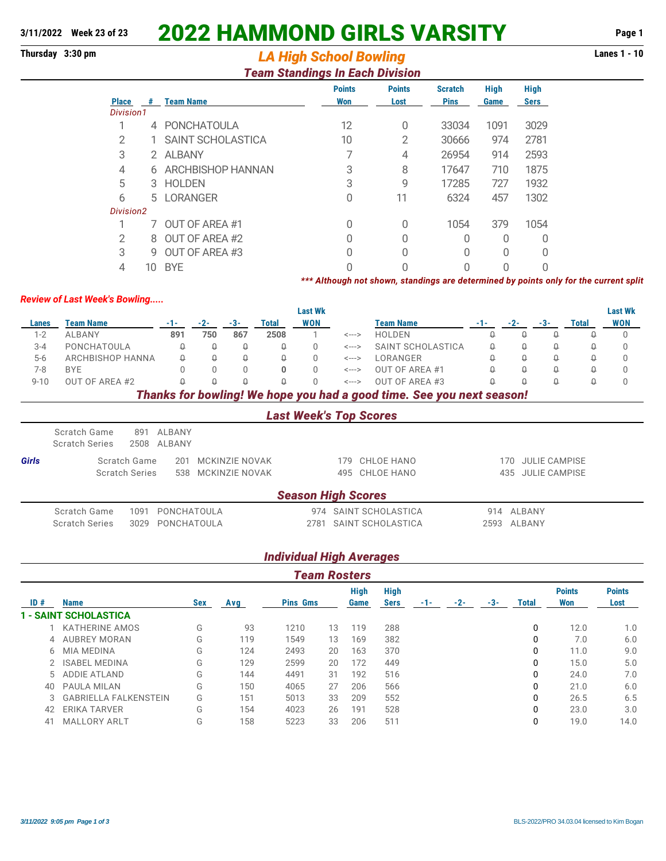# **3/11/2022 Week 23 of 23** 2022 HAMMOND GIRLS VARSITY **Page 1**

## **Thursday 3:30 pm Lanes 1 - 10** *LA High School Bowling*

#### *Team Standings In Each Division*

|                |    |                   | <b>Points</b> | <b>Points</b> | <b>Scratch</b> | <b>High</b> | <b>High</b> |
|----------------|----|-------------------|---------------|---------------|----------------|-------------|-------------|
| <b>Place</b>   | #  | <b>Team Name</b>  | Won           | Lost          | <b>Pins</b>    | Game        | <b>Sers</b> |
| Division1      |    |                   |               |               |                |             |             |
|                | 4  | PONCHATOULA       | 12            | 0             | 33034          | 1091        | 3029        |
| $\overline{2}$ |    | SAINT SCHOLASTICA | 10            | 2             | 30666          | 974         | 2781        |
| 3              | 2  | <b>ALBANY</b>     | 7             | 4             | 26954          | 914         | 2593        |
| 4              | 6  | ARCHBISHOP HANNAN | 3             | 8             | 17647          | 710         | 1875        |
| 5              | 3  | <b>HOLDEN</b>     | 3             | 9             | 17285          | 727         | 1932        |
| 6              | 5. | LORANGER          | $\Omega$      | 11            | 6324           | 457         | 1302        |
| Division2      |    |                   |               |               |                |             |             |
|                |    | OUT OF AREA #1    | 0             | 0             | 1054           | 379         | 1054        |
| $\overline{2}$ | 8  | OUT OF AREA #2    | 0             | 0             | 0              | Ω           | 0           |
| 3              | g  | OUT OF AREA #3    | U             | 0             | O              | N           | O           |
| 4              | 10 | <b>BYE</b>        |               |               | Ω              | Ω           | $\Omega$    |

#### *\*\*\* Although not shown, standings are determined by points only for the current split*

#### *Review of Last Week's Bowling.....*

|                           |                                                                       |                                |       |                       |              | <b>Last Wk</b>            |                            |                                 |       |          |                      |       | <b>Last Wk</b> |
|---------------------------|-----------------------------------------------------------------------|--------------------------------|-------|-----------------------|--------------|---------------------------|----------------------------|---------------------------------|-------|----------|----------------------|-------|----------------|
| <b>Team Name</b><br>Lanes |                                                                       | $-1-$                          | $-2-$ | $-3-$                 | Total        | <b>WON</b>                |                            | <b>Team Name</b>                | $-1-$ | $-2-$    | $-3-$                | Total | WON            |
| $1 - 2$                   | <b>ALBANY</b>                                                         | 891                            | 750   | 867                   | 2508         |                           | $\leftarrow$ --->          | <b>HOLDEN</b>                   | Q     | $\Omega$ | Q                    | Ω     | $\Omega$       |
| $3 - 4$                   | PONCHATOULA                                                           | Q                              | Q     | Q                     | $\Omega$     | $\Omega$                  | $\leftarrow$ --->          | SAINT SCHOLASTICA               | Ω     | Q        | Q                    | Ω     | <sup>0</sup>   |
| $5-6$                     | ARCHBISHOP HANNA                                                      | Û                              | Q     | $\Omega$              | Q            | $\Omega$                  | $\leftarrow$ $\rightarrow$ | LORANGER                        |       | $\theta$ | $\theta$             | Û     |                |
| $7-8$                     | <b>BYE</b>                                                            | O                              |       | 0                     | $\mathbf{0}$ | $\Omega$                  | $\leftarrow$ --->          | OUT OF AREA #1                  |       | $\Omega$ | Q                    | Û     | 0              |
| $9 - 10$                  | OUT OF AREA #2                                                        | Q                              | Û     | Û                     | $\Omega$     | $\Omega$                  | $\leftarrow$ $\rightarrow$ | OUT OF AREA #3<br>$\Omega$<br>Ω |       |          |                      | Û     | $\Omega$       |
|                           | Thanks for bowling! We hope you had a good time. See you next season! |                                |       |                       |              |                           |                            |                                 |       |          |                      |       |                |
|                           | <b>Last Week's Top Scores</b>                                         |                                |       |                       |              |                           |                            |                                 |       |          |                      |       |                |
|                           | Scratch Game<br>891<br><b>Scratch Series</b><br>2508                  | <b>ALBANY</b><br><b>ALBANY</b> |       |                       |              |                           |                            |                                 |       |          |                      |       |                |
| Girls                     | Scratch Game                                                          | 201                            |       | <b>MCKINZIE NOVAK</b> |              |                           | 179                        | CHLOE HANO                      |       | 170      | <b>JULIE CAMPISE</b> |       |                |
|                           | <b>Scratch Series</b>                                                 | <b>MCKINZIE NOVAK</b><br>538   |       |                       |              | 495                       | CHLOE HANO                 |                                 | 435   |          | <b>JULIE CAMPISE</b> |       |                |
|                           |                                                                       |                                |       |                       |              | <b>Season High Scores</b> |                            |                                 |       |          |                      |       |                |
|                           | Scratch Game<br>1091                                                  | PONCHATOULA                    |       |                       |              | 974                       |                            | SAINT SCHOLASTICA               | 914   | ALBANY   |                      |       |                |
|                           | <b>Scratch Series</b><br>3029                                         | PONCHATOULA                    |       |                       |              | 2781                      |                            | SAINT SCHOLASTICA               | 2593  | ALBANY   |                      |       |                |

### *Individual High Averages*

| <b>Team Rosters</b> |                              |            |     |      |                 |     |                            |     |     |     |              |                      |                       |
|---------------------|------------------------------|------------|-----|------|-----------------|-----|----------------------------|-----|-----|-----|--------------|----------------------|-----------------------|
| ID#                 | <b>Name</b>                  | <b>Sex</b> | Avg |      | <b>Pins Gms</b> |     | <b>High</b><br><b>Sers</b> | -1- | -2- | -3- | <b>Total</b> | <b>Points</b><br>Won | <b>Points</b><br>Lost |
|                     | <b>1 - SAINT SCHOLASTICA</b> |            |     |      |                 |     |                            |     |     |     |              |                      |                       |
|                     | KATHERINE AMOS               | G          | 93  | 1210 | 13              | 119 | 288                        |     |     |     | 0            | 12.0                 | 1.0                   |
|                     | 4 AUBREY MORAN               | G          | 119 | 1549 | 13              | 169 | 382                        |     |     |     |              | 7.0                  | 6.0                   |
| 6                   | <b>MIA MEDINA</b>            | G          | 124 | 2493 | 20              | 163 | 370                        |     |     |     | 0            | 11.0                 | 9.0                   |
|                     | 2 ISABEL MEDINA              | G          | 129 | 2599 | 20              | 172 | 449                        |     |     |     | 0            | 15.0                 | 5.0                   |
|                     | 5 ADDIE ATLAND               | G          | 144 | 4491 | 31              | 192 | 516                        |     |     |     | 0            | 24.0                 | 7.0                   |
| 40                  | PAULA MILAN                  | G          | 150 | 4065 | 27              | 206 | 566                        |     |     |     | 0            | 21.0                 | 6.0                   |
| 3                   | <b>GABRIELLA FALKENSTEIN</b> | G          | 151 | 5013 | 33              | 209 | 552                        |     |     |     | 0            | 26.5                 | 6.5                   |
| 42                  | ERIKA TARVER                 | G          | 154 | 4023 | 26              | 191 | 528                        |     |     |     | 0            | 23.0                 | 3.0                   |
| 41                  | <b>MALLORY ARLT</b>          | G          | 158 | 5223 | 33              | 206 | 511                        |     |     |     |              | 19.0                 | 14.0                  |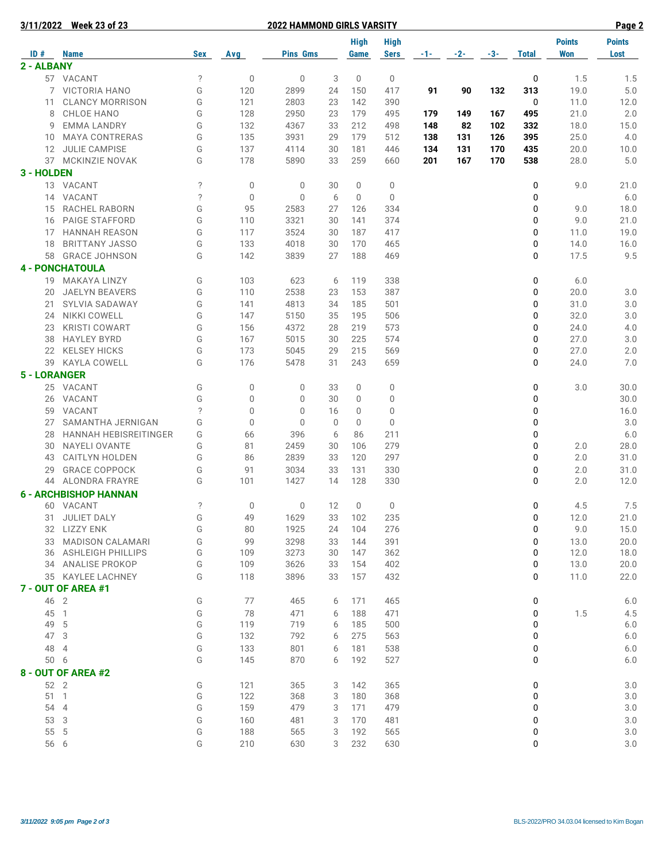|                     | 3/11/2022 Week 23 of 23                   |                          |                | <b>2022 HAMMOND GIRLS VARSITY</b> |             |             |             |       |     |     |              |               | Page 2        |
|---------------------|-------------------------------------------|--------------------------|----------------|-----------------------------------|-------------|-------------|-------------|-------|-----|-----|--------------|---------------|---------------|
|                     |                                           |                          |                |                                   |             | <b>High</b> | <b>High</b> |       |     |     |              | <b>Points</b> | <b>Points</b> |
| ID#<br>2 - ALBANY   | <b>Name</b>                               | <b>Sex</b>               | Avg            | <b>Pins Gms</b>                   |             | Game        | <b>Sers</b> | -1- 1 | -2- | -3- | <b>Total</b> | <b>Won</b>    | Lost          |
|                     | 57 VACANT                                 | $\ddot{?}$               | $\mathbf 0$    | $\mathbf 0$                       | 3           | 0           | 0           |       |     |     | 0            | 1.5           | 1.5           |
|                     | 7 VICTORIA HANO                           |                          | 120            | 2899                              |             |             |             |       |     |     |              |               |               |
| 11                  | <b>CLANCY MORRISON</b>                    | G<br>G                   | 121            | 2803                              | 24<br>23    | 150<br>142  | 417<br>390  | 91    | 90  | 132 | 313<br>0     | 19.0<br>11.0  | $5.0$<br>12.0 |
| 8                   | CHLOE HANO                                | G                        | 128            | 2950                              | 23          | 179         | 495         | 179   | 149 | 167 | 495          | 21.0          | 2.0           |
| 9                   | <b>EMMA LANDRY</b>                        | G                        | 132            | 4367                              | 33          | 212         | 498         | 148   | 82  | 102 | 332          | 18.0          | 15.0          |
| 10                  | <b>MAYA CONTRERAS</b>                     | G                        | 135            | 3931                              | 29          | 179         | 512         | 138   | 131 | 126 | 395          | 25.0          | 4.0           |
| 12                  | <b>JULIE CAMPISE</b>                      | G                        | 137            | 4114                              | 30          | 181         | 446         | 134   | 131 | 170 | 435          | 20.0          | 10.0          |
| 37                  | MCKINZIE NOVAK                            | G                        | 178            | 5890                              | 33          | 259         | 660         | 201   | 167 | 170 | 538          | 28.0          | 5.0           |
| 3 - HOLDEN          |                                           |                          |                |                                   |             |             |             |       |     |     |              |               |               |
|                     | 13 VACANT                                 | $\overline{\phantom{0}}$ | 0              | 0                                 | 30          | 0           | 0           |       |     |     | 0            | 9.0           | 21.0          |
|                     | 14 VACANT                                 | $\overline{\phantom{0}}$ | $\mathbf 0$    | $\mathbf 0$                       | 6           | $\mathbf 0$ |             |       |     |     | 0            |               |               |
| 15                  | RACHEL RABORN                             | G                        | 95             | 2583                              | 27          |             | 0<br>334    |       |     |     | 0            | 9.0           | $6.0$<br>18.0 |
| 16                  | <b>PAIGE STAFFORD</b>                     | G                        | 110            | 3321                              | 30          | 126<br>141  | 374         |       |     |     | 0            | 9.0           | 21.0          |
| 17                  | <b>HANNAH REASON</b>                      | G                        | 117            | 3524                              | 30          | 187         | 417         |       |     |     | 0            | 11.0          | 19.0          |
| 18                  | <b>BRITTANY JASSO</b>                     | G                        | 133            | 4018                              | 30          | 170         | 465         |       |     |     | 0            | 14.0          | 16.0          |
| 58                  | <b>GRACE JOHNSON</b>                      | G                        | 142            | 3839                              | 27          | 188         | 469         |       |     |     | 0            | 17.5          | 9.5           |
|                     |                                           |                          |                |                                   |             |             |             |       |     |     |              |               |               |
|                     | <b>4 - PONCHATOULA</b>                    |                          |                |                                   |             |             |             |       |     |     |              |               |               |
|                     | 19 MAKAYA LINZY<br><b>JAELYN BEAVERS</b>  | G                        | 103<br>110     | 623                               | 6           | 119         | 338         |       |     |     | 0            | 6.0           |               |
| 20                  |                                           | G                        |                | 2538                              | 23          | 153         | 387         |       |     |     | 0            | 20.0          | 3.0           |
| 21                  | SYLVIA SADAWAY                            | G                        | 141            | 4813                              | 34          | 185         | 501         |       |     |     | 0            | 31.0          | 3.0           |
| 24                  | NIKKI COWELL                              | G                        | 147            | 5150                              | 35          | 195         | 506         |       |     |     | 0            | 32.0          | 3.0           |
| 23                  | <b>KRISTI COWART</b>                      | G<br>G                   | 156            | 4372                              | 28          | 219         | 573         |       |     |     | 0            | 24.0          | 4.0           |
| 38                  | <b>HAYLEY BYRD</b><br><b>KELSEY HICKS</b> | G                        | 167<br>173     | 5015<br>5045                      | 30<br>29    | 225<br>215  | 574<br>569  |       |     |     | 0<br>0       | 27.0<br>27.0  | 3.0<br>2.0    |
| 22                  |                                           |                          |                |                                   |             |             |             |       |     |     |              |               |               |
| 39                  | KAYLA COWELL                              | G                        | 176            | 5478                              | 31          | 243         | 659         |       |     |     | 0            | 24.0          | 7.0           |
| <b>5 - LORANGER</b> |                                           |                          |                |                                   |             |             |             |       |     |     |              |               |               |
|                     | 25 VACANT                                 | G                        | 0              | $\mathbf 0$                       | 33          | 0           | $\mathbf 0$ |       |     |     | 0            | 3.0           | 30.0          |
|                     | 26 VACANT                                 | G                        | $\mathbf 0$    | $\mathbf{0}$                      | 30          | 0           | $\mathbf 0$ |       |     |     | 0            |               | 30.0          |
|                     | 59 VACANT                                 | $\overline{\phantom{0}}$ | $\mathbf 0$    | $\mathbf 0$                       | 16          | 0           | $\mathbf 0$ |       |     |     | 0            |               | 16.0          |
| 27                  | SAMANTHA JERNIGAN                         | G                        | $\mathbf 0$    | $\mathbf{0}$                      | $\mathbf 0$ | $\mathbf 0$ | $\mathbf 0$ |       |     |     | 0            |               | 3.0           |
| 28                  | <b>HANNAH HEBISREITINGER</b>              | G                        | 66             | 396                               | 6           | 86          | 211         |       |     |     | 0            |               | 6.0           |
| 30                  | NAYELI OVANTE                             | G                        | 81             | 2459                              | 30          | 106         | 279         |       |     |     | 0            | 2.0<br>2.0    | 28.0          |
| 43                  | <b>CAITLYN HOLDEN</b>                     | G                        | 86             | 2839                              | 33          | 120         | 297         |       |     |     | 0            |               | 31.0          |
| 29                  | <b>GRACE COPPOCK</b>                      | G<br>G                   | 91             | 3034                              | 33          | 131         | 330         |       |     |     | 0            | 2.0           | 31.0          |
|                     | 44 ALONDRA FRAYRE                         |                          | 101            | 1427                              | 14          | 128         | 330         |       |     |     | 0            | 2.0           | 12.0          |
|                     | <b>6 - ARCHBISHOP HANNAN</b>              |                          |                |                                   |             |             |             |       |     |     |              |               |               |
|                     | 60 VACANT                                 | ?                        | $\overline{0}$ | 0                                 | 12          | $\mathbf 0$ | 0           |       |     |     | $\mathbf{0}$ | 4.5           | $7.5\,$       |
|                     | 31 JULIET DALY                            | G                        | 49             | 1629                              | 33          | 102         | 235         |       |     |     | 0            | 12.0          | 21.0          |
|                     | 32 LIZZY ENK                              | G                        | 80             | 1925                              | 24          | 104         | 276         |       |     |     | 0            | 9.0           | 15.0          |
|                     | 33 MADISON CALAMARI                       | G                        | 99             | 3298                              | 33          | 144         | 391         |       |     |     | 0            | 13.0          | 20.0          |
|                     | 36 ASHLEIGH PHILLIPS<br>34 ANALISE PROKOP | G<br>G                   | 109<br>109     | 3273<br>3626                      | 30<br>33    | 147<br>154  | 362<br>402  |       |     |     | 0<br>0       | 12.0          | 18.0          |
|                     |                                           | G                        |                |                                   |             |             |             |       |     |     |              | 13.0          | 20.0          |
|                     | 35 KAYLEE LACHNEY<br>7 - OUT OF AREA #1   |                          | 118            | 3896                              | 33          | 157         | 432         |       |     |     | 0            | 11.0          | 22.0          |
|                     |                                           |                          |                |                                   |             |             |             |       |     |     |              |               |               |
| 46 2                |                                           | G                        | 77             | 465                               | 6           | 171         | 465         |       |     |     | 0            |               | $6.0$         |
| 45 1                |                                           | G                        | 78             | 471                               | 6           | 188         | 471         |       |     |     | 0            | 1.5           | 4.5           |
| 49 5                |                                           | G                        | 119            | 719                               | 6           | 185         | 500         |       |     |     | 0            |               | 6.0           |
| 47 3                |                                           | G                        | 132            | 792                               | 6           | 275         | 563         |       |     |     | 0            |               | 6.0           |
| 48 4                |                                           | G<br>G                   | 133            | 801                               | 6           | 181         | 538         |       |     |     | 0            |               | $6.0$         |
| 50 6                |                                           |                          | 145            | 870                               | 6           | 192         | 527         |       |     |     | 0            |               | $6.0$         |
|                     | 8 - OUT OF AREA #2                        |                          |                |                                   |             |             |             |       |     |     |              |               |               |
| 52 2                |                                           | G                        | 121            | 365                               | 3           | 142         | 365         |       |     |     | 0            |               | 3.0           |
|                     | 51 1                                      | G                        | 122            | 368                               | 3           | 180         | 368         |       |     |     | 0            |               | $3.0\,$       |
| 54 4                |                                           | G                        | 159            | 479                               | 3           | 171         | 479         |       |     |     | 0            |               | 3.0           |
| 53 3                |                                           | G                        | 160            | 481                               | 3           | 170         | 481         |       |     |     | 0            |               | $3.0\,$       |
| 55 5                |                                           | G                        | 188            | 565                               | 3           | 192         | 565         |       |     |     | 0            |               | $3.0\,$       |
| 56 6                |                                           | G                        | 210            | 630                               | 3           | 232         | 630         |       |     |     | 0            |               | $3.0\,$       |